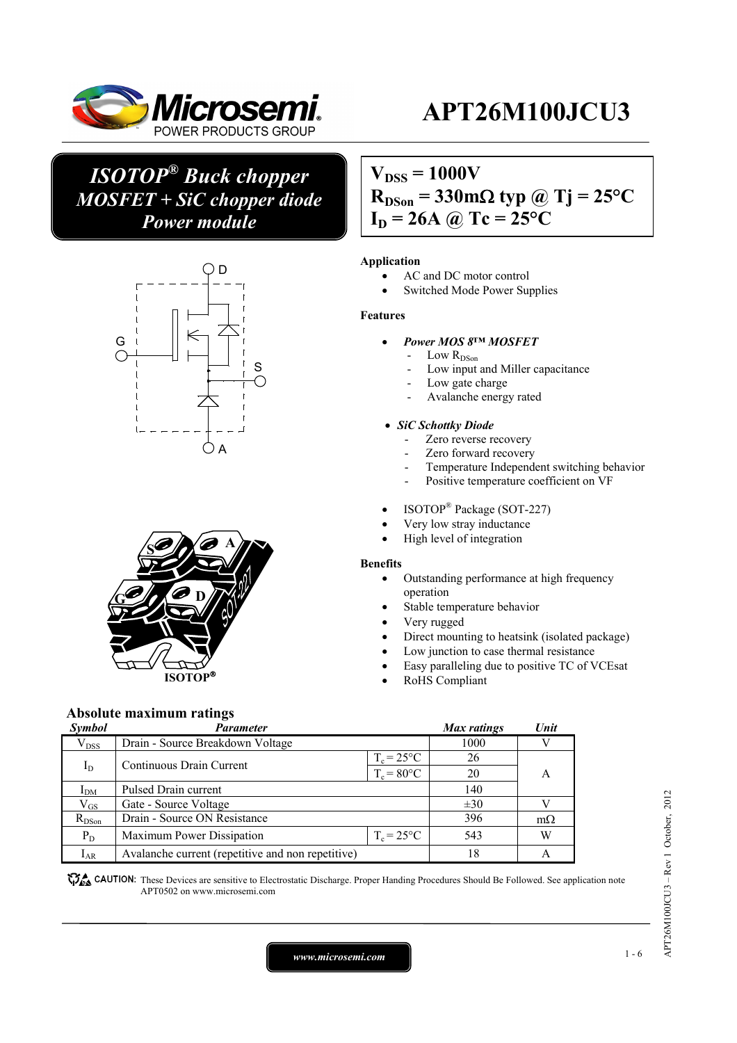

## *ISOTOP® Buck chopper MOSFET + SiC chopper diode Power module*





## $V_{DSS} = 1000V$  $R_{DSon} = 330 \text{m}\Omega$  typ @ Tj = 25<sup>o</sup>C

 $I_D = 26A$  @ Tc =  $25^{\circ}C$ 

### **Application**

- AC and DC motor control
- Switched Mode Power Supplies

#### **Features**

- *Power MOS 8™ MOSFET* 
	- $\rm Low\ R_{DSon}$
	- Low input and Miller capacitance
	- Low gate charge
	- Avalanche energy rated

#### *SiC Schottky Diode*

- Zero reverse recovery
- Zero forward recovery
- Temperature Independent switching behavior
- Positive temperature coefficient on VF
- ISOTOP<sup>®</sup> Package (SOT-227)
- Very low stray inductance
- High level of integration

#### **Benefits**

- Outstanding performance at high frequency operation
- Stable temperature behavior
- Very rugged
- Direct mounting to heatsink (isolated package)
- Low junction to case thermal resistance
- Easy paralleling due to positive TC of VCEsat
- RoHS Compliant

### **Absolute maximum ratings**

| <b>Symbol</b> | Parameter                                         |                     | Max ratings | Unit      |
|---------------|---------------------------------------------------|---------------------|-------------|-----------|
| $V_{DSS}$     | Drain - Source Breakdown Voltage                  |                     |             |           |
|               | Continuous Drain Current                          | $T_c = 25$ °C       | 26          |           |
| $I_D$         |                                                   | $T_c = 80$ °C       | 20          | A         |
| $I_{DM}$      | Pulsed Drain current                              |                     | 140         |           |
| $\rm V_{GS}$  | Gate - Source Voltage                             |                     | $\pm 30$    |           |
| $R_{DSon}$    | Drain - Source ON Resistance                      |                     | 396         | $m\Omega$ |
| $P_D$         | Maximum Power Dissipation                         | $T_c = 25^{\circ}C$ | 543         | W         |
| $I_{AR}$      | Avalanche current (repetitive and non repetitive) |                     | 18          |           |

**These** CAUTION: These Devices are sensitive to Electrostatic Discharge. Proper Handing Procedures Should Be Followed. See application note APT0502 on www.microsemi.com

*www.microsemi.com* 1-6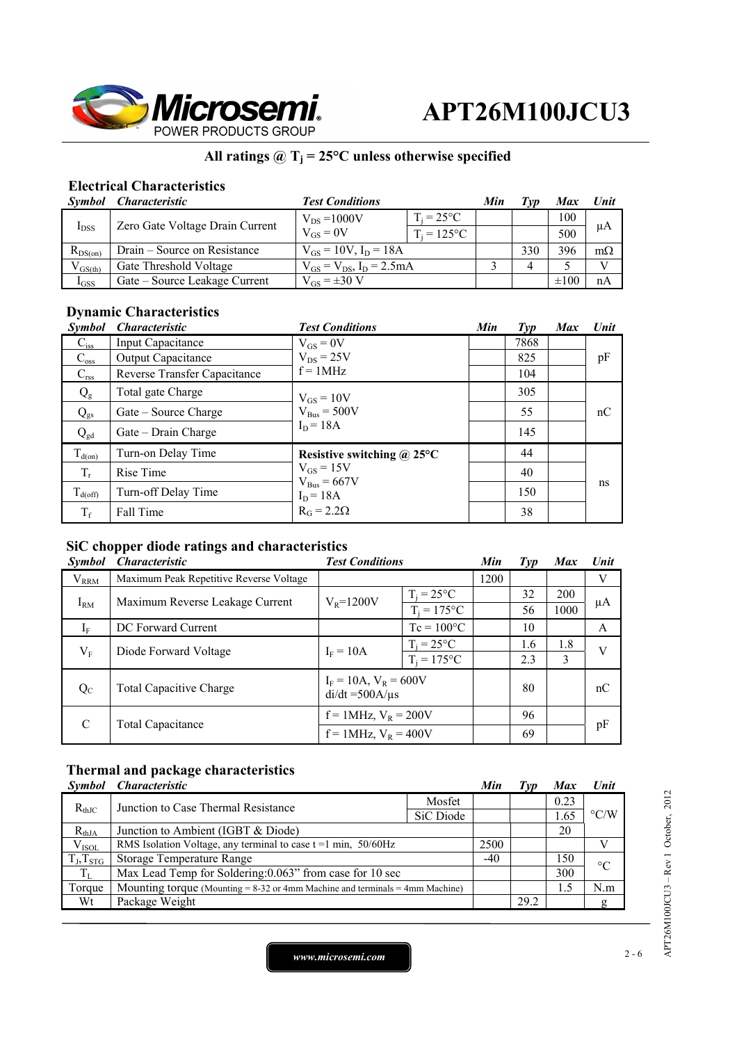

## All ratings  $@T_j = 25°C$  unless otherwise specified

### **Electrical Characteristics**

|              | Symbol Characteristic           | <b>Test Conditions</b>             |                     | Min | Tvp | Max       | Unit      |
|--------------|---------------------------------|------------------------------------|---------------------|-----|-----|-----------|-----------|
| $I_{DSS}$    | Zero Gate Voltage Drain Current | $V_{DS} = 1000V$                   | $T_i = 25^{\circ}C$ |     |     | 100       |           |
|              |                                 | $V_{GS} = 0V$                      | $T_i = 125$ °C      |     |     | 500       | μA        |
| $R_{DS(on)}$ | Drain – Source on Resistance    | $V_{GS} = 10V$ , $I_D = 18A$       |                     |     | 330 | 396       | $m\Omega$ |
| $V_{GS(th)}$ | Gate Threshold Voltage          | $V_{GS} = V_{DS}$ , $I_D = 2.5 mA$ |                     |     |     |           |           |
| $I_{GSS}$    | Gate – Source Leakage Current   | $V_{GS} = \pm 30 V$                |                     |     |     | $\pm 100$ | nA        |

## **Dynamic Characteristics**

| <b>Symbol</b>       | <b>Characteristic</b>        | <b>Test Conditions</b>            | Min | $\mathcal{I}yp$ | <b>Max</b> | Unit |
|---------------------|------------------------------|-----------------------------------|-----|-----------------|------------|------|
| $C_{iss}$           | <b>Input Capacitance</b>     | $V_{GS} = 0V$                     |     | 7868            |            |      |
| $C_{\rm oss}$       | Output Capacitance           | $V_{DS}$ = 25V                    |     | 825             |            | pF   |
| $C_{\rm rss}$       | Reverse Transfer Capacitance | $f = 1MHz$                        |     | 104             |            |      |
| $Q_{\rm g}$         | Total gate Charge            | $V_{GS} = 10V$                    |     | 305             |            |      |
| $Q_{gs}$            | Gate – Source Charge         | $V_{Bus} = 500V$                  |     | 55              |            | nC   |
| $Q_{gd}$            | Gate – Drain Charge          | $I_D = 18A$                       |     | 145             |            |      |
| $T_{d(on)}$         | Turn-on Delay Time           | Resistive switching $\omega$ 25°C |     | 44              |            |      |
| $T_r$               | Rise Time                    | $V_{GS}$ = 15V                    |     | 40              |            |      |
| $T_{d(\text{off})}$ | Turn-off Delay Time          | $V_{Bus} = 667V$<br>$I_D = 18A$   |     | 150             |            | ns   |
| $T_f$               | Fall Time                    | $R_G = 2.2\Omega$                 |     | 38              |            |      |

## **SiC chopper diode ratings and characteristics**

| <b>Symbol</b> | <i>Characteristic</i>                               | <b>Test Conditions</b>                             |                     | Min  | Type | <b>Max</b> | <b>Unit</b> |
|---------------|-----------------------------------------------------|----------------------------------------------------|---------------------|------|------|------------|-------------|
| $V_{RRM}$     | Maximum Peak Repetitive Reverse Voltage             |                                                    |                     | 1200 |      |            | V           |
|               | $T_i = 25^{\circ}C$                                 |                                                    | 32                  | 200  |      |            |             |
| $I_{RM}$      | Maximum Reverse Leakage Current                     | $V_{R} = 1200V$                                    | $T_i = 175$ °C      |      | 56   | 1000       | μA          |
| $I_F$         | DC Forward Current                                  |                                                    | $Tc = 100^{\circ}C$ |      | 10   |            | A           |
|               |                                                     |                                                    | $T_i = 25^{\circ}C$ |      | 1.6  | 1.8        | V           |
|               | $V_{\rm F}$<br>$I_F = 10A$<br>Diode Forward Voltage | $T_i = 175$ °C                                     |                     | 2.3  | 3    |            |             |
| $Q_{C}$       | <b>Total Capacitive Charge</b>                      | $I_F = 10A$ , $V_R = 600V$<br>$di/dt = 500A/\mu s$ |                     |      | 80   |            | nC          |
| C             | <b>Total Capacitance</b>                            | $f = 1$ MHz, $V_R = 200V$                          |                     |      | 96   |            |             |
|               |                                                     | $f = 1$ MHz, $V_R = 400V$                          |                     |      | 69   |            | pF          |

## **Thermal and package characteristics**

| <i>Symbol</i>  | <i><b>Characteristic</b></i>                                                      |           | Min   | $\angle I \mathcal{V} \mathcal{P}$ | <b>Max</b> | <b>Unit</b>        |
|----------------|-----------------------------------------------------------------------------------|-----------|-------|------------------------------------|------------|--------------------|
| $R_{thJC}$     | Junction to Case Thermal Resistance                                               | Mosfet    |       |                                    | 0.23       |                    |
|                |                                                                                   | SiC Diode |       |                                    | 1.65       | $\rm ^{\circ} C/W$ |
| $R_{thJA}$     | Junction to Ambient (IGBT & Diode)                                                |           |       |                                    | 20         |                    |
| $V_{ISOL}$     | RMS Isolation Voltage, any terminal to case $t = 1$ min, $50/60$ Hz               |           | 2500  |                                    |            |                    |
| $T_J, T_{STG}$ | Storage Temperature Range                                                         |           | $-40$ |                                    | 150        | $\rm ^{\circ}C$    |
| $T_{L}$        | Max Lead Temp for Soldering: 0.063" from case for 10 sec                          |           |       |                                    | 300        |                    |
| Torque         | Mounting torque (Mounting $= 8-32$ or 4mm Machine and terminals $= 4$ mm Machine) |           |       |                                    | 1.5        | N.m                |
| Wt             | Package Weight                                                                    |           |       | 29.2                               |            | Զ                  |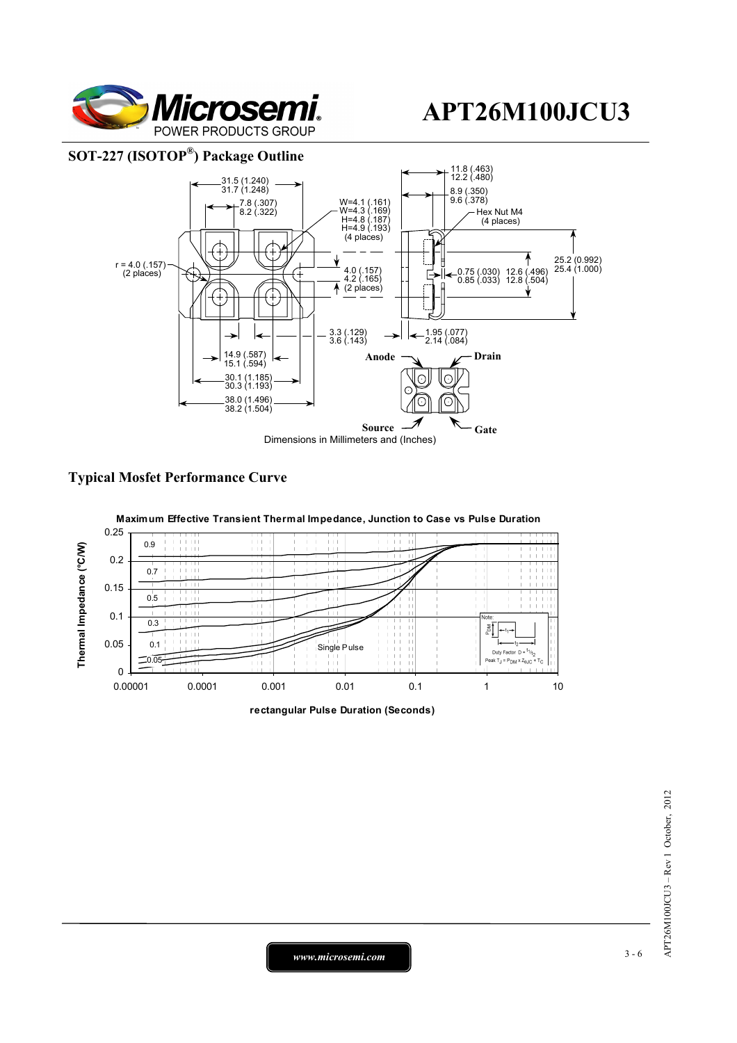

### **SOT-227 (ISOTOP®) Package Outline**



### **Typical Mosfet Performance Curve**



**rectangular Pulse Duration (Seconds)**

*www.microsemi.com* 3-6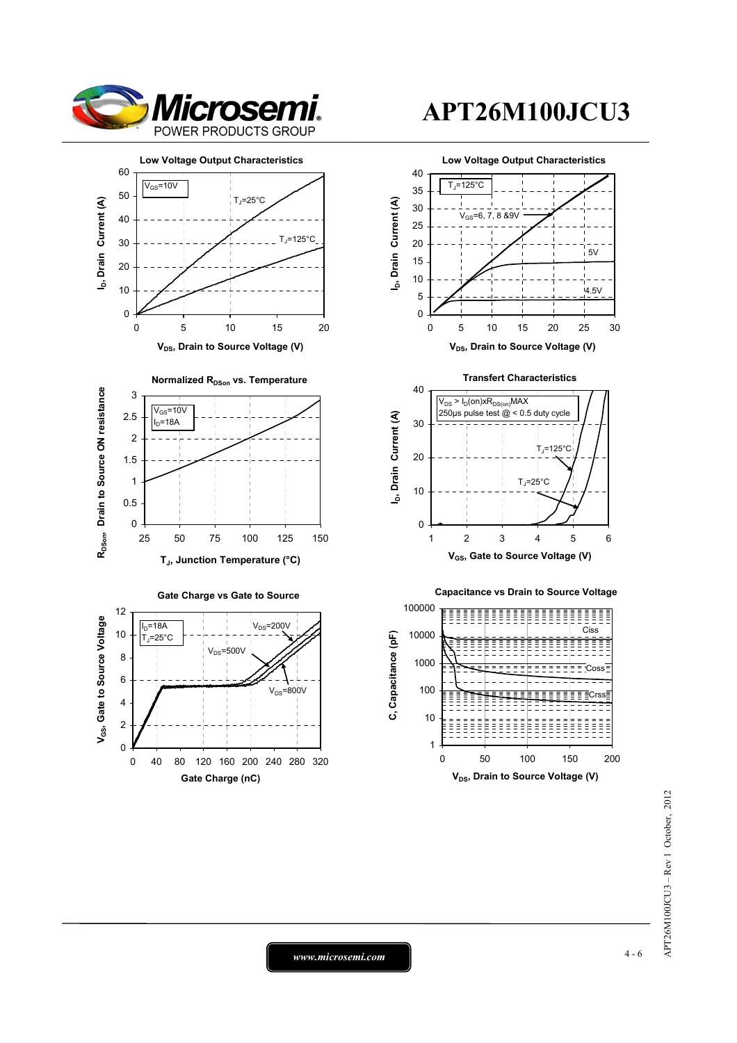





0

25 50 75 100 125 150



# **APT26M100JCU3**





1

10

100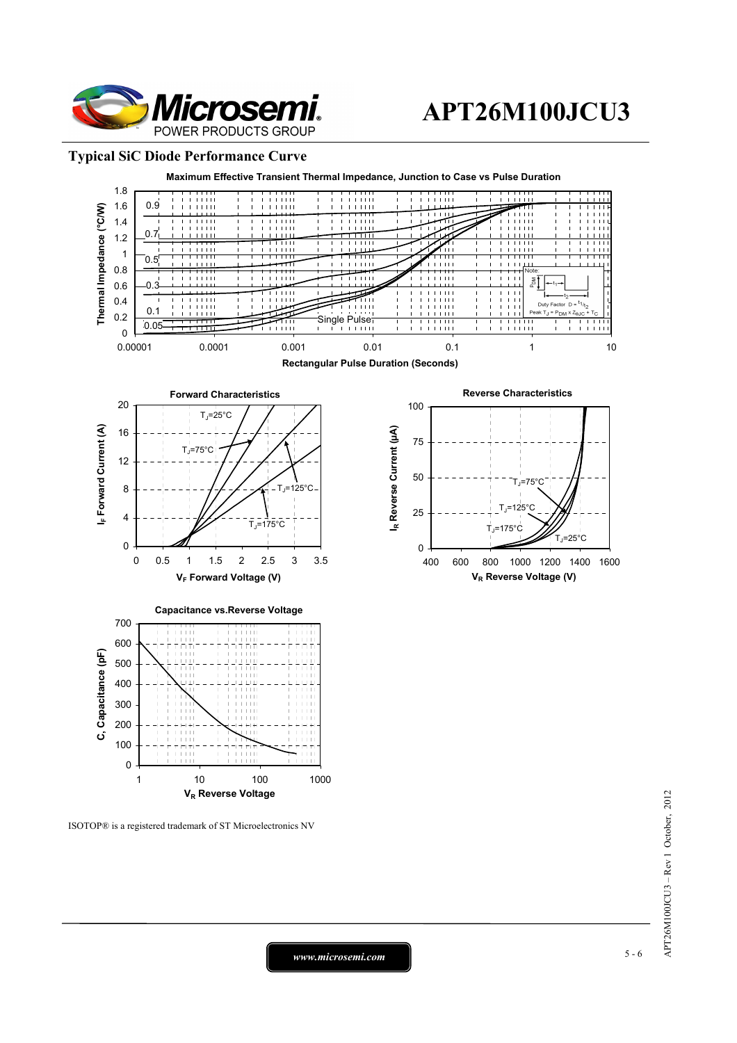

#### **Typical SiC Diode Performance Curve**



ISOTOP® is a registered trademark of ST Microelectronics NV

*www.microsemi.com* 5-6